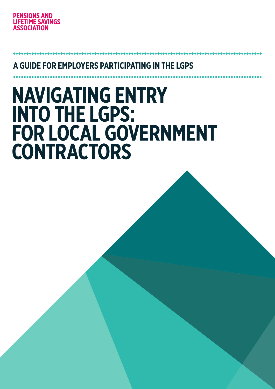

### **A GUIDE FOR EMPLOYERS PARTICIPATING IN THE LGPS**

# **NAVIGATING ENTRY INTO THE LGPS: FOR LOCAL GOVERNMENT CONTRACTORS**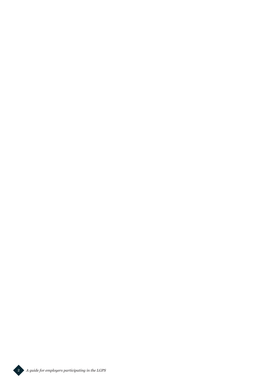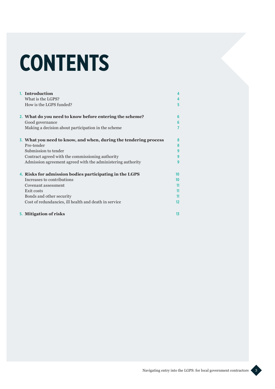# **CONTENTS**

| 1. Introduction                                                  |                   |
|------------------------------------------------------------------|-------------------|
| What is the LGPS?                                                |                   |
| How is the LGPS funded?                                          | 5                 |
| 2. What do you need to know before entering the scheme?          | 6                 |
| Good governance                                                  | 6                 |
| Making a decision about participation in the scheme              | 7                 |
| 3. What you need to know, and when, during the tendering process | 8                 |
| Pre-tender                                                       | 8                 |
| Submission to tender                                             | 9                 |
| Contract agreed with the commissioning authority                 |                   |
| Admission agreement agreed with the administering authority      | 9                 |
| 4. Risks for admission bodies participating in the LGPS          | 10                |
| Increases to contributions                                       | 10                |
| Covenant assessment                                              | 11                |
| Exit costs                                                       | 11                |
| Bonds and other security                                         | 11                |
| Cost of redundancies, ill health and death in service            | $12 \overline{ }$ |
| <b>5. Mitigation of risks</b>                                    | 13                |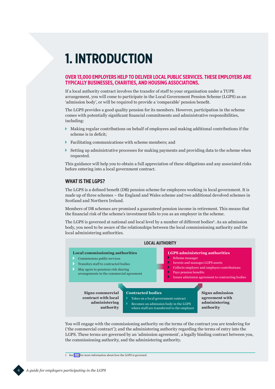# **1. INTRODUCTION**

#### **OVER 13,000 EMPLOYERS HELP TO DELIVER LOCAL PUBLIC SERVICES. THESE EMPLOYERS ARE TYPICALLY BUSINESSES, CHARITIES, AND HOUSING ASSOCIATIONS.**

If a local authority contract involves the transfer of staff to your organisation under a TUPE arrangement, you will come to participate in the Local Government Pension Scheme (LGPS) as an 'admission body', or will be required to provide a 'comparable' pension benefit.

The LGPS provides a good quality pension for its members. However, participation in the scheme comes with potentially significant financial commitments and administrative responsibilities, including:

- Making regular contributions on behalf of employees and making additional contributions if the scheme is in deficit;
- Facilitating communications with scheme members; and
- $\triangleright$  Setting up administrative processes for making payments and providing data to the scheme when requested.

This guidance will help you to obtain a full appreciation of these obligations and any associated risks before entering into a local government contract.

#### **WHAT IS THE LGPS?**

The LGPS is a defined benefit (DB) pension scheme for employees working in local government. It is made up of three schemes – the England and Wales scheme and two additional devolved schemes in Scotland and Northern Ireland.

Members of DB schemes are promised a guaranteed pension income in retirement. This means that the financial risk of the scheme's investment falls to you as an employer in the scheme.

The LGPS is governed at national and local level by a number of different bodies**<sup>1</sup>** . As an admission body, you need to be aware of the relationships between the local commissioning authority and the local administering authorities.



You will engage with the commissioning authority on the terms of the contract you are tendering for ('the commercial contract'); and the administering authority regarding the terms of entry into the LGPS. These terms are governed by an 'admission agreement', a legally binding contract between you, the commissioning authority, and the administering authority.

1 See [here](http://www.lgpsboard.org/index.php/about-the-board) for more information about how the LGPS is governed.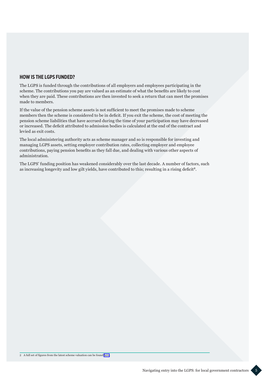#### **HOW IS THE LGPS FUNDED?**

The LGPS is funded through the contributions of all employers and employees participating in the scheme. The contributions you pay are valued as an estimate of what the benefits are likely to cost when they are paid. These contributions are then invested to seek a return that can meet the promises made to members.

If the value of the pension scheme assets is not sufficient to meet the promises made to scheme members then the scheme is considered to be in deficit. If you exit the scheme, the cost of meeting the pension scheme liabilities that have accrued during the time of your participation may have decreased or increased. The deficit attributed to admission bodies is calculated at the end of the contract and levied as exit costs.

The local administering authority acts as scheme manager and so is responsible for investing and managing LGPS assets, setting employer contribution rates, collecting employer and employee contributions, paying pension benefits as they fall due, and dealing with various other aspects of administration.

The LGPS' funding position has weakened considerably over the last decade. A number of factors, such as increasing longevity and low gilt yields, have contributed to this; resulting in a rising deficit**2**.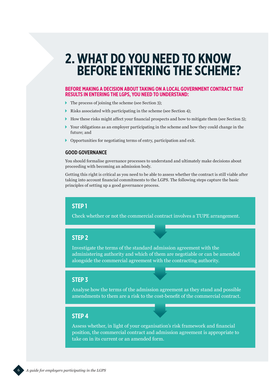### **2. WHAT DO YOU NEED TO KNOW BEFORE ENTERING THE SCHEME?**

#### **BEFORE MAKING A DECISION ABOUT TAKING ON A LOCAL GOVERNMENT CONTRACT THAT RESULTS IN ENTERING THE LGPS, YOU NEED TO UNDERSTAND:**

- The process of joining the scheme (see Section 3);
- Risks associated with participating in the scheme (see Section 4);
- How these risks might affect your financial prospects and how to mitigate them (see Section 5);
- Your obligations as an employer participating in the scheme and how they could change in the future; and
- Opportunities for negotiating terms of entry, participation and exit.

#### **GOOD GOVERNANCE**

You should formalise governance processes to understand and ultimately make decisions about proceeding with becoming an admission body.

Getting this right is critical as you need to be able to assess whether the contract is still viable after taking into account financial commitments to the LGPS. The following steps capture the basic principles of setting up a good governance process.

#### **STEP 1**

Check whether or not the commercial contract involves a TUPE arrangement.

#### **STEP 2**

Investigate the terms of the standard admission agreement with the administering authority and which of them are negotiable or can be amended alongside the commercial agreement with the contracting authority.

#### **STEP 3**

Analyse how the terms of the admission agreement as they stand and possible amendments to them are a risk to the cost-benefit of the commercial contract.

#### **STEP 4**

Assess whether, in light of your organisation's risk framework and financial position, the commercial contract and admission agreement is appropriate to take on in its current or an amended form.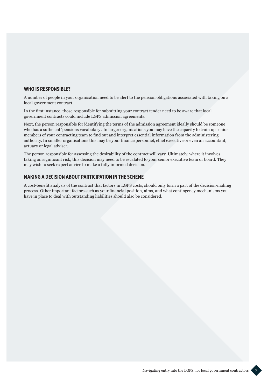#### **WHO IS RESPONSIBLE?**

A number of people in your organisation need to be alert to the pension obligations associated with taking on a local government contract.

In the first instance, those responsible for submitting your contract tender need to be aware that local government contracts could include LGPS admission agreements.

Next, the person responsible for identifying the terms of the admission agreement ideally should be someone who has a sufficient 'pensions vocabulary'. In larger organisations you may have the capacity to train up senior members of your contracting team to find out and interpret essential information from the administering authority. In smaller organisations this may be your finance personnel, chief executive or even an accountant, actuary or legal adviser.

The person responsible for assessing the desirability of the contract will vary. Ultimately, where it involves taking on significant risk, this decision may need to be escalated to your senior executive team or board. They may wish to seek expert advice to make a fully informed decision.

#### **MAKING A DECISION ABOUT PARTICIPATION IN THE SCHEME**

A cost-benefit analysis of the contract that factors in LGPS costs, should only form a part of the decision-making process. Other important factors such as your financial position, aims, and what contingency mechanisms you have in place to deal with outstanding liabilities should also be considered.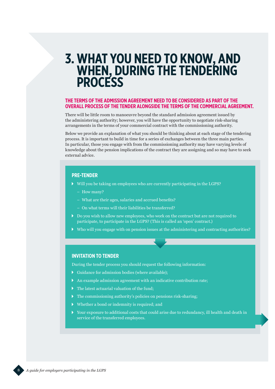### **3. WHAT YOU NEED TO KNOW, AND WHEN, DURING THE TENDERING PROCESS**

#### **THE TERMS OF THE ADMISSION AGREEMENT NEED TO BE CONSIDERED AS PART OF THE OVERALL PROCESS OF THE TENDER ALONGSIDE THE TERMS OF THE COMMERCIAL AGREEMENT.**

There will be little room to manoeuvre beyond the standard admission agreement issued by the administering authority; however, you will have the opportunity to negotiate risk-sharing arrangements in the terms of your commercial contract with the commissioning authority.

Below we provide an explanation of what you should be thinking about at each stage of the tendering process. It is important to build in time for a series of exchanges between the three main parties. In particular, those you engage with from the commissioning authority may have varying levels of knowledge about the pension implications of the contract they are assigning and so may have to seek external advice.

#### **PRE-TENDER**

- Will you be taking on employees who are currently participating in the LGPS?
	- How many?
	- What are their ages, salaries and accrued benefits?
	- On what terms will their liabilities be transferred?
- $\triangleright$  Do you wish to allow new employees, who work on the contract but are not required to participate, to participate in the LGPS? (This is called an 'open' contract.)
- Who will you engage with on pension issues at the administering and contracting authorities?

#### **INVITATION TO TENDER**

During the tender process you should request the following information:

- Guidance for admission bodies (where available);
- An example admission agreement with an indicative contribution rate;
- The latest actuarial valuation of the fund;
- ▶ The commissioning authority's policies on pensions risk-sharing;
- Whether a bond or indemnity is required; and
- $\triangleright$  Your exposure to additional costs that could arise due to redundancy, ill health and death in service of the transferred employees.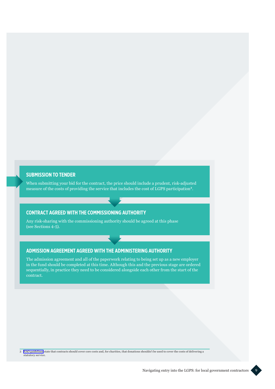#### **SUBMISSION TO TENDER**

When submitting your bid for the contract, the price should include a prudent, risk-adjusted measure of the costs of providing the service that includes the cost of LGPS participation**3**.

#### **CONTRACT AGREED WITH THE COMMISSIONING AUTHORITY**

Any risk-sharing with the commissioning authority should be agreed at this phase (see Sections 4-5).

#### **ADMISSION AGREEMENT AGREED WITH THE ADMINISTERING AUTHORITY**

The admission agreement and all of the paperwork relating to being set up as a new employer in the fund should be completed at this time. Although this and the previous stage are ordered sequentially, in practice they need to be considered alongside each other from the start of the contract.

3 [NAO guidelines](https://www.nao.org.uk/successful-commissioning/) state that contracts should cover core costs and, for charities, that donations shouldn't be used to cover the costs of delivering a statutory service.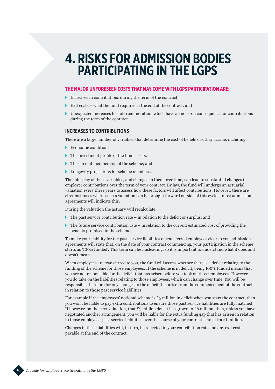## **4. RISKS FOR ADMISSION BODIES PARTICIPATING IN THE LGPS**

#### **THE MAJOR UNFORESEEN COSTS THAT MAY COME WITH LGPS PARTICIPATION ARE:**

- Increases in contributions during the term of the contract;
- Exit costs what the fund requires at the end of the contract; and
- Unexpected increases to staff remuneration, which have a knock-on consequence for contributions during the term of the contract.

#### **INCREASES TO CONTRIBUTIONS**

There are a large number of variables that determine the cost of benefits as they accrue, including:

- Economic conditions;
- The investment profile of the fund assets:
- The current membership of the scheme; and
- **Longevity projections for scheme members.**

The interplay of these variables, and changes in them over time, can lead to substantial changes in employer contributions over the term of your contract. By law, the fund will undergo an actuarial valuation every three years to assess how these factors will affect contributions. However, there are circumstances where such a valuation can be brought forward outside of this cycle – most admission agreements will indicate this.

During the valuation the actuary will recalculate:

- $\blacktriangleright$  The past service contribution rate in relation to the deficit or surplus; and
- $\blacktriangleright$  The future service contribution rate in relation to the current estimated cost of providing the benefits promised in the scheme.

To make your liability for the past service liabilities of transferred employees clear to you, admission agreements will state that, on the date of your contract commencing, your participation in the scheme starts as '100% funded'. This term can be misleading, so it is important to understand what it does and doesn't mean.

When employees are transferred to you, the fund will assess whether there is a deficit relating to the funding of the scheme for those employees. If the scheme is in deficit, being 100% funded means that you are not responsible for the deficit that has arisen before you took on those employees. However, you do take on the liabilities relating to those employees, which can change over time. You will be responsible therefore for any changes to the deficit that arise from the commencement of the contract in relation to those past service liabilities.

For example if the employees' notional scheme is  $£5$  million in deficit when you start the contract, then you won't be liable to pay extra contributions to ensure those past service liabilities are fully matched. If however, on the next valuation, that £5 million deficit has grown to £6 million, then, unless you have negotiated another arrangement, you will be liable for the extra funding gap that has arisen in relation to those employees' past service liabilities over the course of your contract – an extra  $\pounds$ 1 million.

Changes in these liabilities will, in turn, be reflected in your contribution rate and any exit costs payable at the end of the contract.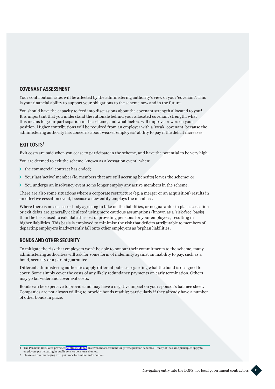#### **COVENANT ASSESSMENT**

Your contribution rates will be affected by the administering authority's view of your 'covenant'. This is your financial ability to support your obligations to the scheme now and in the future.

You should have the capacity to feed into discussions about the covenant strength allocated to you**4**. It is important that you understand the rationale behind your allocated covenant strength, what this means for your participation in the scheme, and what factors will improve or worsen your position. Higher contributions will be required from an employer with a 'weak' covenant, because the administering authority has concerns about weaker employers' ability to pay if the deficit increases.

#### **EXIT COSTS5**

Exit costs are paid when you cease to participate in the scheme, and have the potential to be very high.

You are deemed to exit the scheme, known as a 'cessation event', when:

- $\blacktriangleright$  the commercial contract has ended;
- Your last 'active' member (ie. members that are still accruing benefits) leaves the scheme; or  $\blacktriangleright$
- $\blacktriangleright$ You undergo an insolvency event so no longer employ any active members in the scheme.

There are also some situations where a corporate restructure (eg. a merger or an acquisition) results in an effective cessation event, because a new entity employs the members.

Where there is no successor body agreeing to take on the liabilities, or no guarantor in place, cessation or exit debts are generally calculated using more cautious assumptions (known as a 'risk-free' basis) than the basis used to calculate the cost of providing pensions for your employees, resulting in higher liabilities. This basis is employed to minimise the risk that deficits attributable to members of departing employers inadvertently fall onto other employers as 'orphan liabilities'.

#### **BONDS AND OTHER SECURITY**

To mitigate the risk that employers won't be able to honour their commitments to the scheme, many administering authorities will ask for some form of indemnity against an inability to pay, such as a bond, security or a parent guarantee.

Different administering authorities apply different policies regarding what the bond is designed to cover. Some simply cover the costs of any likely redundancy payments on early termination. Others may go far wider and cover exit costs.

Bonds can be expensive to provide and may have a negative impact on your sponsor's balance sheet. Companies are not always willing to provide bonds readily; particularly if they already have a number of other bonds in place.

4 The Pensions Regulator provides [helpful guidance](http://www.thepensionsregulator.gov.uk/guidance/guidance-assessing-monitoring-employer-covenant.aspx) on covenant assessment for private pension schemes – many of the same principles apply to employers participating in public service pension schemes.

5 Please see our 'managing exit' guidance for further information.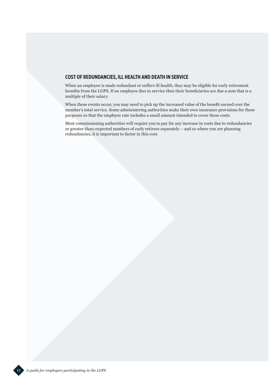#### **COST OF REDUNDANCIES, ILL HEALTH AND DEATH IN SERVICE**

When an employee is made redundant or suffers ill health, they may be eligible for early retirement benefits from the LGPS. If an employee dies in service then their beneficiaries are due a sum that is a multiple of their salary.

When these events occur, you may need to pick up the increased value of the benefit earned over the member's total service. Some administering authorities make their own insurance provisions for these purposes so that the employer rate includes a small amount intended to cover these costs.

Most commissioning authorities will require you to pay for any increase in costs due to redundancies or greater-than-expected numbers of early retirees separately – and so where you are planning redundancies, it is important to factor in this cost.

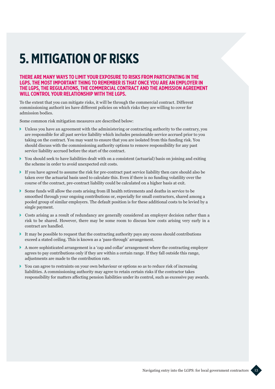# **5. MITIGATION OF RISKS**

#### **THERE ARE MANY WAYS TO LIMIT YOUR EXPOSURE TO RISKS FROM PARTICIPATING IN THE LGPS. THE MOST IMPORTANT THING TO REMEMBER IS THAT ONCE YOU ARE AN EMPLOYER IN THE LGPS, THE REGULATIONS, THE COMMERCIAL CONTRACT AND THE ADMISSION AGREEMENT WILL CONTROL YOUR RELATIONSHIP WITH THE LGPS.**

To the extent that you can mitigate risks, it will be through the commercial contract. Different commissioning authorit ies have different policies on which risks they are willing to cover for admission bodies.

Some common risk mitigation measures are described below:

- Unless you have an agreement with the administering or contracting authority to the contrary, you are responsible for all past service liability which includes pensionable service accrued prior to you taking on the contract. You may want to ensure that you are isolated from this funding risk. You should discuss with the commissioning authority options to remove responsibility for any past service liability accrued before the start of the contract.
- You should seek to have liabilities dealt with on a consistent (actuarial) basis on joining and exiting the scheme in order to avoid unexpected exit costs.
- If you have agreed to assume the risk for pre-contract past service liability then care should also be taken over the actuarial basis used to calculate this. Even if there is no funding volatility over the course of the contract, pre-contract liability could be calculated on a higher basis at exit.
- Some funds will allow the costs arising from ill health retirements and deaths in service to be smoothed through your ongoing contributions or, especially for small contractors, shared among a pooled group of similar employers. The default position is for these additional costs to be levied by a single payment.
- Costs arising as a result of redundancy are generally considered an employer decision rather than a risk to be shared. However, there may be some room to discuss how costs arising very early in a contract are handled.
- It may be possible to request that the contracting authority pays any excess should contributions exceed a stated ceiling. This is known as a 'pass-through' arrangement.
- A more sophisticated arrangement is a 'cap and collar' arrangement where the contracting employer agrees to pay contributions only if they are within a certain range. If they fall outside this range, adjustments are made to the contribution rate.
- You can agree to restraints on your own behaviour or options so as to reduce risk of increasing liabilities. A commissioning authority may agree to retain certain risks if the contractor takes responsibility for matters affecting pension liabilities under its control, such as excessive pay awards.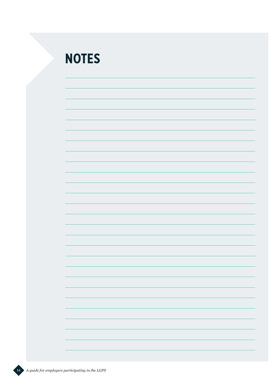# **NOTES**

| 14 |  | A guide for employers participating in the LGPS |  |
|----|--|-------------------------------------------------|--|
|    |  |                                                 |  |